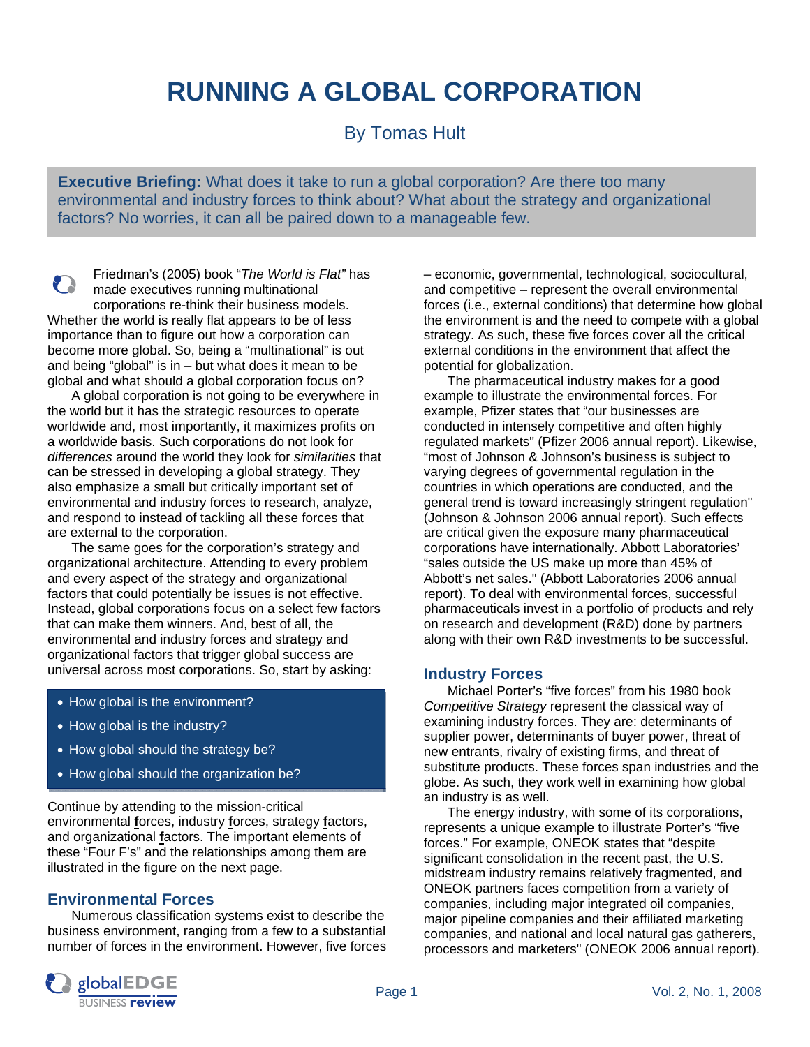# **RUNNING A GLOBAL CORPORATION**

By Tomas Hult

**Executive Briefing:** What does it take to run a global corporation? Are there too many environmental and industry forces to think about? What about the strategy and organizational factors? No worries, it can all be paired down to a manageable few.

Friedman's (2005) book "*The World is Flat"* has P made executives running multinational corporations re-think their business models. Whether the world is really flat appears to be of less importance than to figure out how a corporation can become more global. So, being a "multinational" is out and being "global" is in  $-$  but what does it mean to be global and what should a global corporation focus on?

 A global corporation is not going to be everywhere in the world but it has the strategic resources to operate worldwide and, most importantly, it maximizes profits on a worldwide basis. Such corporations do not look for *differences* around the world they look for *similarities* that can be stressed in developing a global strategy. They also emphasize a small but critically important set of environmental and industry forces to research, analyze, and respond to instead of tackling all these forces that are external to the corporation.

 The same goes for the corporation's strategy and organizational architecture. Attending to every problem and every aspect of the strategy and organizational factors that could potentially be issues is not effective. Instead, global corporations focus on a select few factors that can make them winners. And, best of all, the environmental and industry forces and strategy and organizational factors that trigger global success are universal across most corporations. So, start by asking:

- How global is the environment?
- How global is the industry?
- How global should the strategy be?
- How global should the organization be?

Continue by attending to the mission-critical environmental **f**orces, industry **f**orces, strategy **f**actors, and organizational **f**actors. The important elements of these "Four F's" and the relationships among them are illustrated in the figure on the next page.

### **Environmental Forces**

 Numerous classification systems exist to describe the business environment, ranging from a few to a substantial number of forces in the environment. However, five forces – economic, governmental, technological, sociocultural, and competitive – represent the overall environmental forces (i.e., external conditions) that determine how global the environment is and the need to compete with a global strategy. As such, these five forces cover all the critical external conditions in the environment that affect the potential for globalization.

 The pharmaceutical industry makes for a good example to illustrate the environmental forces. For example, Pfizer states that "our businesses are conducted in intensely competitive and often highly regulated markets" (Pfizer 2006 annual report). Likewise, "most of Johnson & Johnson's business is subject to varying degrees of governmental regulation in the countries in which operations are conducted, and the general trend is toward increasingly stringent regulation" (Johnson & Johnson 2006 annual report). Such effects are critical given the exposure many pharmaceutical corporations have internationally. Abbott Laboratories' "sales outside the US make up more than 45% of Abbott's net sales." (Abbott Laboratories 2006 annual report). To deal with environmental forces, successful pharmaceuticals invest in a portfolio of products and rely on research and development (R&D) done by partners along with their own R&D investments to be successful.

### **Industry Forces**

 Michael Porter's "five forces" from his 1980 book *Competitive Strategy* represent the classical way of examining industry forces. They are: determinants of supplier power, determinants of buyer power, threat of new entrants, rivalry of existing firms, and threat of substitute products. These forces span industries and the globe. As such, they work well in examining how global an industry is as well.

 The energy industry, with some of its corporations, represents a unique example to illustrate Porter's "five forces." For example, ONEOK states that "despite significant consolidation in the recent past, the U.S. midstream industry remains relatively fragmented, and ONEOK partners faces competition from a variety of companies, including major integrated oil companies, major pipeline companies and their affiliated marketing companies, and national and local natural gas gatherers, processors and marketers" (ONEOK 2006 annual report).

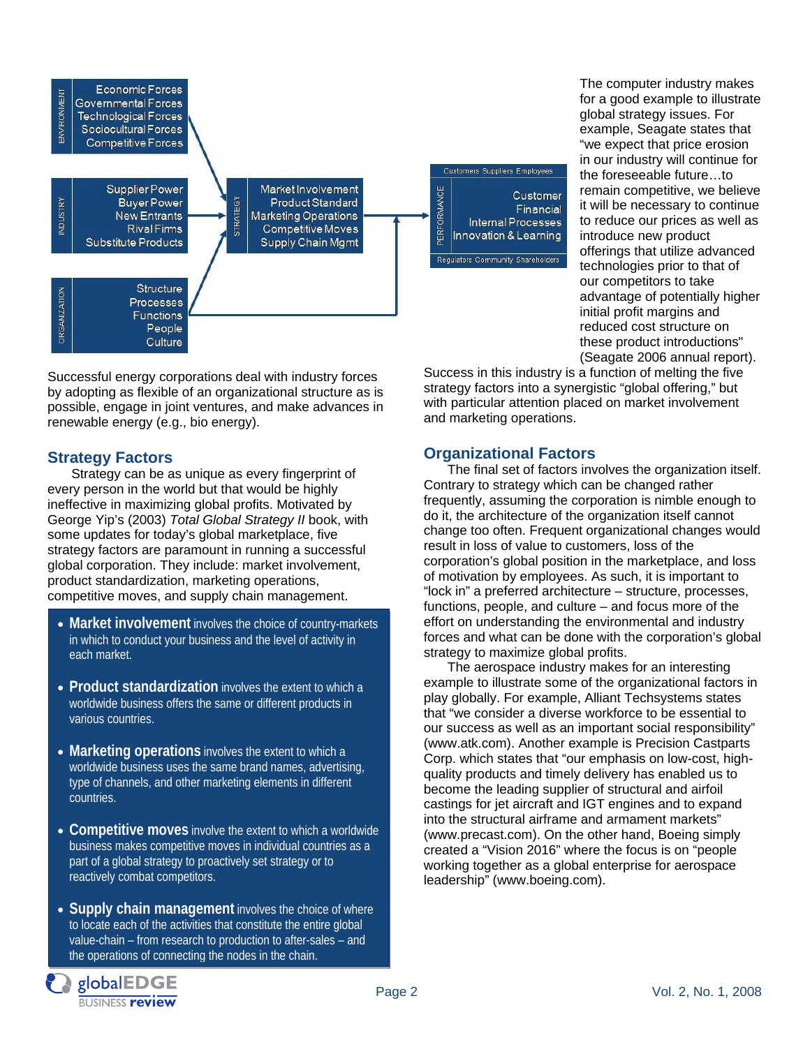| ENVIRONMENT     | <b>Economic Forces</b><br>Governmental Forces<br><b>Technological Forces</b><br>Sociocultural Forces<br>Competitive Forces         |                                                                                                                        |                                                                                     |
|-----------------|------------------------------------------------------------------------------------------------------------------------------------|------------------------------------------------------------------------------------------------------------------------|-------------------------------------------------------------------------------------|
|                 |                                                                                                                                    |                                                                                                                        | <b>Customers Suppliers Employees</b>                                                |
| <b>INDUSTRY</b> | Supplier Power<br><b>STRATEGY</b><br><b>Buyer Power</b><br><b>New Entrants</b><br><b>Rival Firms</b><br><b>Substitute Products</b> | Market Involvement<br><b>Product Standard</b><br><b>Marketing Operations</b><br>Competitive Moves<br>Supply Chain Mgmt | PERFORMANCE<br>Customer<br>Financial<br>Internal Processes<br>Innovation & Learning |
| ORGANIZATION    | <b>Structure</b><br>Processes<br><b>Functions</b><br>People<br>Culture                                                             |                                                                                                                        | Regulators Community Shareholders                                                   |

Successful energy corporations deal with industry forces by adopting as flexible of an organizational structure as is possible, engage in joint ventures, and make advances in renewable energy (e.g., bio energy).

## **Strategy Factors**

 Strategy can be as unique as every fingerprint of every person in the world but that would be highly ineffective in maximizing global profits. Motivated by George Yip's (2003) *Total Global Strategy II* book, with some updates for today's global marketplace, five strategy factors are paramount in running a successful global corporation. They include: market involvement, product standardization, marketing operations, competitive moves, and supply chain management.

- **Market involvement** involves the choice of country-markets in which to conduct your business and the level of activity in each market.
- **Product standardization** involves the extent to which a worldwide business offers the same or different products in various countries.
- **Marketing operations** involves the extent to which a worldwide business uses the same brand names, advertising, type of channels, and other marketing elements in different countries.
- **Competitive moves** involve the extent to which a worldwide business makes competitive moves in individual countries as a part of a global strategy to proactively set strategy or to reactively combat competitors.
- **Supply chain management** involves the choice of where to locate each of the activities that constitute the entire global value-chain – from research to production to after-sales – and the operations of connecting the nodes in the chain.

```
globalEDGE
BUSINESS review
```
**Organizational Factors** 

and marketing operations.

 The final set of factors involves the organization itself. Contrary to strategy which can be changed rather frequently, assuming the corporation is nimble enough to do it, the architecture of the organization itself cannot change too often. Frequent organizational changes would result in loss of value to customers, loss of the corporation's global position in the marketplace, and loss of motivation by employees. As such, it is important to "lock in" a preferred architecture – structure, processes, functions, people, and culture – and focus more of the effort on understanding the environmental and industry forces and what can be done with the corporation's global strategy to maximize global profits.

Success in this industry is a function of melting the five strategy factors into a synergistic "global offering," but with particular attention placed on market involvement

The computer industry makes for a good example to illustrate global strategy issues. For example, Seagate states that "we expect that price erosion in our industry will continue for the foreseeable future…to remain competitive, we believe it will be necessary to continue to reduce our prices as well as

introduce new product

offerings that utilize advanced technologies prior to that of our competitors to take

advantage of potentially higher initial profit margins and reduced cost structure on these product introductions" (Seagate 2006 annual report).

 The aerospace industry makes for an interesting example to illustrate some of the organizational factors in play globally. For example, Alliant Techsystems states that "we consider a diverse workforce to be essential to our success as well as an important social responsibility" (www.atk.com). Another example is Precision Castparts Corp. which states that "our emphasis on low-cost, highquality products and timely delivery has enabled us to become the leading supplier of structural and airfoil castings for jet aircraft and IGT engines and to expand into the structural airframe and armament markets" (www.precast.com). On the other hand, Boeing simply created a "Vision 2016" where the focus is on "people working together as a global enterprise for aerospace leadership" (www.boeing.com).